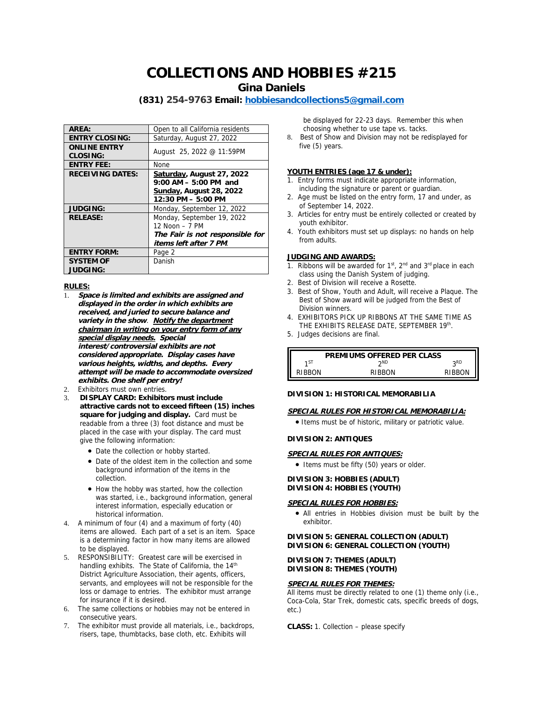# **COLLECTIONS AND HOBBIES #215**

**Gina Daniels**

# **(831) 254-9763 Email: [hobbiesandcollections5@gmail.com](mailto:hobbiesandcollections5@gmail.com)**

| AREA:                           | Open to all California residents                                                                                         |
|---------------------------------|--------------------------------------------------------------------------------------------------------------------------|
| <b>ENTRY CLOSING:</b>           | Saturday, August 27, 2022                                                                                                |
| <b>ONLINE ENTRY</b><br>CLOSING: | August 25, 2022 @ 11:59PM                                                                                                |
| <b>ENTRY FEE:</b>               | <b>None</b>                                                                                                              |
| <b>RECEIVING DATES:</b>         | Saturday, August 27, 2022<br>$9:00$ AM $-5:00$ PM and<br>Sunday, August 28, 2022<br>$12:30 \text{ PM} - 5:00 \text{ PM}$ |
| <b>JUDGING:</b>                 | Monday, September 12, 2022                                                                                               |
| <b>RELEASE:</b>                 | Monday, September 19, 2022<br>12 Noon - 7 PM<br>The Fair is not responsible for<br>items left after 7 PM.                |
| <b>ENTRY FORM:</b>              | Page 2                                                                                                                   |
| <b>SYSTEM OF</b><br>JUDGING:    | Danish                                                                                                                   |

#### **RULES:**

- 1. **Space is limited and exhibits are assigned and displayed in the order in which exhibits are received, and juried to secure balance and variety in the show**. **Notify the department chairman in writing on your entry form of any special display needs. Special interest/controversial exhibits are not considered appropriate. Display cases have various heights, widths, and depths. Every attempt will be made to accommodate oversized exhibits. One shelf per entry!**
- 2. Exhibitors must own entries.
- 3. **DISPLAY CARD: Exhibitors must include attractive cards not to exceed fifteen (15) inches square for judging and display.** Card must be readable from a three (3) foot distance and must be placed in the case with your display. The card must give the following information:
	- Date the collection or hobby started.
	- Date of the oldest item in the collection and some background information of the items in the collection.
	- How the hobby was started, how the collection was started, i.e., background information, general interest information, especially education or historical information.
- 4. A minimum of four (4) and a maximum of forty (40) items are allowed. Each part of a set is an item. Space is a determining factor in how many items are allowed to be displayed.
- 5. RESPONSIBILITY: Greatest care will be exercised in handling exhibits. The State of California, the 14<sup>th</sup> District Agriculture Association, their agents, officers, servants, and employees will not be responsible for the loss or damage to entries. The exhibitor must arrange for insurance if it is desired.
- 6. The same collections or hobbies may not be entered in consecutive years.
- 7. The exhibitor must provide all materials, i.e., backdrops, risers, tape, thumbtacks, base cloth, etc. Exhibits will

be displayed for 22-23 days. Remember this when choosing whether to use tape vs. tacks.

8. Best of Show and Division may not be redisplayed for five (5) years.

# **YOUTH ENTRIES (age 17 & under):**

- 1. Entry forms must indicate appropriate information, including the signature or parent or guardian.
- 2. Age must be listed on the entry form, 17 and under, as of September 14, 2022.
- 3. Articles for entry must be entirely collected or created by youth exhibitor.
- 4. Youth exhibitors must set up displays: no hands on help from adults.

#### **JUDGING AND AWARDS:**

- 1. Ribbons will be awarded for  $1<sup>st</sup>$ ,  $2<sup>nd</sup>$  and  $3<sup>rd</sup>$  place in each class using the Danish System of judging.
- 2. Best of Division will receive a Rosette.
- 3. Best of Show, Youth and Adult, will receive a Plaque. The Best of Show award will be judged from the Best of Division winners.
- 4. EXHIBITORS PICK UP RIBBONS AT THE SAME TIME AS THE EXHIBITS RELEASE DATE, SEPTEMBER 19th.
- 5. Judges decisions are final.



# **DIVISION 1: HISTORICAL MEMORABILIA**

**SPECIAL RULES FOR HISTORICAL MEMORABILIA:**

Items must be of historic, military or patriotic value.

# **DIVISION 2: ANTIQUES**

- **SPECIAL RULES FOR ANTIQUES:**
- Items must be fifty (50) years or older.

**DIVISION 3: HOBBIES (ADULT) DIVISION 4: HOBBIES (YOUTH)**

# **SPECIAL RULES FOR HOBBIES:**

 All entries in Hobbies division must be built by the exhibitor.

**DIVISION 5: GENERAL COLLECTION (ADULT) DIVISION 6: GENERAL COLLECTION (YOUTH)**

**DIVISION 7: THEMES (ADULT) DIVISION 8: THEMES (YOUTH)**

#### **SPECIAL RULES FOR THEMES:**

All items must be directly related to one (1) theme only (i.e., Coca-Cola, Star Trek, domestic cats, specific breeds of dogs, etc.)

**CLASS:** 1. Collection – please specify